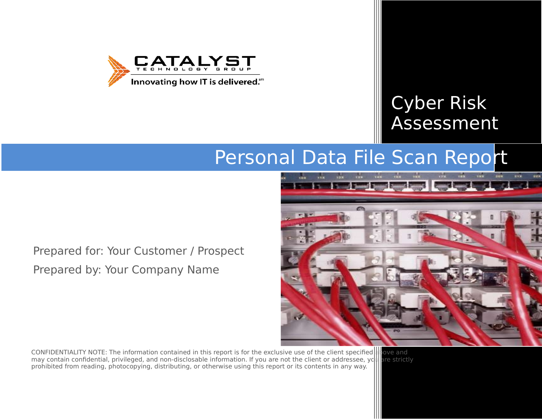

# Cyber Risk Assessment

# Personal Data File Scan Report

Prepared for: Your Customer / Prospect Prepared by: Your Company Name

CONFIDENTIALITY NOTE: The information contained in this report is for the exclusive use of the client specified above and<br>may contain confidential, privileged, and non-disclosable information. If you are not the client or may contain confidential, privileged, and non-disclosable information. If you are not the client or addressee, yc prohibited from reading, photocopying, distributing, or otherwise using this report or its contents in any way.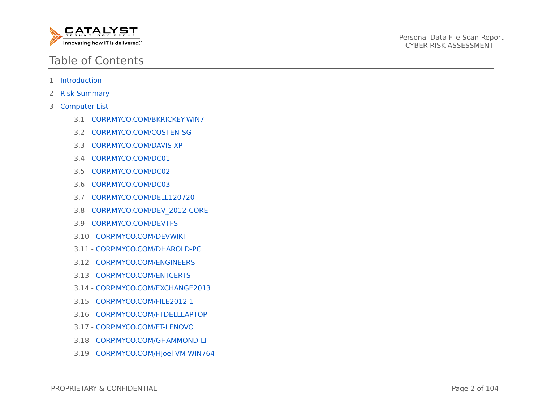

# Table of Contents

- 1 Introduction
- 2 Risk Summary
- 3 Computer List
	- 3.1 CORP.MYCO.COM/BKRICKEY-WIN7
	- 3.2 CORP.MYCO.COM/COSTEN-SG
	- 3.3 CORP.MYCO.COM/DAVIS-XP
	- 3.4 CORP.MYCO.COM/DC01
	- 3.5 CORP.MYCO.COM/DC02
	- 3.6 CORP.MYCO.COM/DC03
	- 3.7 CORP.MYCO.COM/DELL120720
	- 3.8 CORP.MYCO.COM/DEV\_2012-CORE
	- 3.9 CORP.MYCO.COM/DEVTFS
	- 3.10 CORP.MYCO.COM/DEVWIKI
	- 3.11 CORP.MYCO.COM/DHAROLD-PC
	- 3.12 CORP.MYCO.COM/ENGINEERS
	- 3.13 CORP.MYCO.COM/ENTCERTS
	- 3.14 CORP.MYCO.COM/EXCHANGE2013
	- 3.15 CORP.MYCO.COM/FILE2012-1
	- 3.16 CORP.MYCO.COM/FTDELLLAPTOP
	- 3.17 CORP.MYCO.COM/FT-LENOVO
	- 3.18 CORP.MYCO.COM/GHAMMOND-LT
	- 3.19 CORP.MYCO.COM/HJoel-VM-WIN764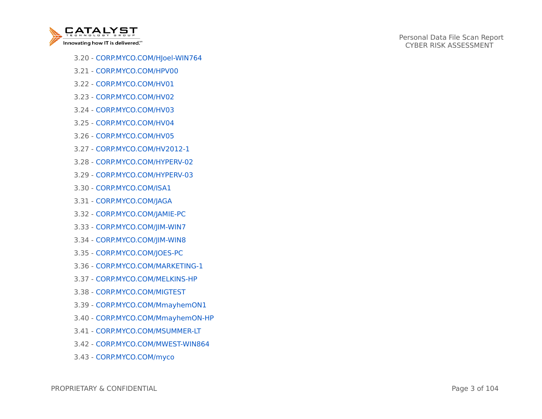

- 3.20 CORP.MYCO.COM/HJoel-WIN764
- 3.21 CORP.MYCO.COM/HPV00
- 3.22 CORP.MYCO.COM/HV01
- 3.23 CORP.MYCO.COM/HV02
- 3.24 CORP.MYCO.COM/HV03
- 3.25 CORP.MYCO.COM/HV04
- 3.26 CORP.MYCO.COM/HV05
- 3.27 CORP.MYCO.COM/HV2012-1
- 3.28 CORP.MYCO.COM/HYPERV-02
- 3.29 CORP.MYCO.COM/HYPERV-03
- 3.30 CORP.MYCO.COM/ISA1
- 3.31 CORP.MYCO.COM/JAGA
- 3.32 CORP.MYCO.COM/JAMIE-PC
- 3.33 CORP.MYCO.COM/JIM-WIN7
- 3.34 CORP.MYCO.COM/JIM-WIN8
- 3.35 CORP.MYCO.COM/JOES-PC
- 3.36 CORP.MYCO.COM/MARKETING-1
- 3.37 CORP.MYCO.COM/MELKINS-HP
- 3.38 CORP.MYCO.COM/MIGTEST
- 3.39 CORP.MYCO.COM/MmayhemON1
- 3.40 CORP.MYCO.COM/MmayhemON-HP
- 3.41 CORP.MYCO.COM/MSUMMER-LT
- 3.42 CORP.MYCO.COM/MWEST-WIN864
- 3.43 CORP.MYCO.COM/myco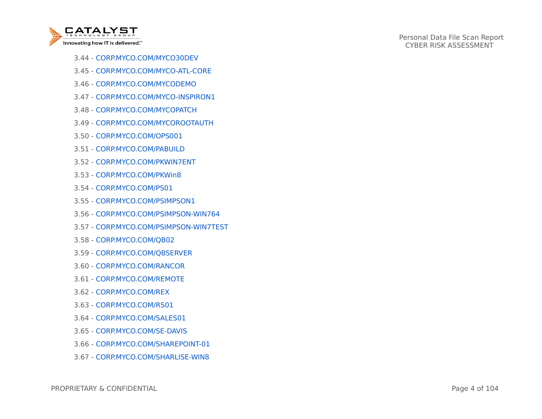

- 3.44 CORP.MYCO.COM/MYCO30DEV
- 3.45 CORP.MYCO.COM/MYCO-ATL-CORE
- 3.46 CORP.MYCO.COM/MYCODEMO
- 3.47 CORP.MYCO.COM/MYCO-INSPIRON1
- 3.48 CORP.MYCO.COM/MYCOPATCH
- 3.49 CORP.MYCO.COM/MYCOROOTAUTH
- 3.50 CORP.MYCO.COM/OPS001
- 3.51 CORP.MYCO.COM/PABUILD
- 3.52 CORP.MYCO.COM/PKWIN7ENT
- 3.53 CORP.MYCO.COM/PKWin8
- 3.54 CORP.MYCO.COM/PS01
- 3.55 CORP.MYCO.COM/PSIMPSON1
- 3.56 CORP.MYCO.COM/PSIMPSON-WIN764
- 3.57 CORP.MYCO.COM/PSIMPSON-WIN7TEST
- 3.58 CORP.MYCO.COM/QB02
- 3.59 CORP.MYCO.COM/QBSERVER
- 3.60 CORP.MYCO.COM/RANCOR
- 3.61 CORP.MYCO.COM/REMOTE
- 3.62 CORP.MYCO.COM/REX
- 3.63 CORP.MYCO.COM/RS01
- 3.64 CORP.MYCO.COM/SALES01
- 3.65 CORP.MYCO.COM/SE-DAVIS
- 3.66 CORP.MYCO.COM/SHAREPOINT-01
- 3.67 CORP.MYCO.COM/SHARLISE-WIN8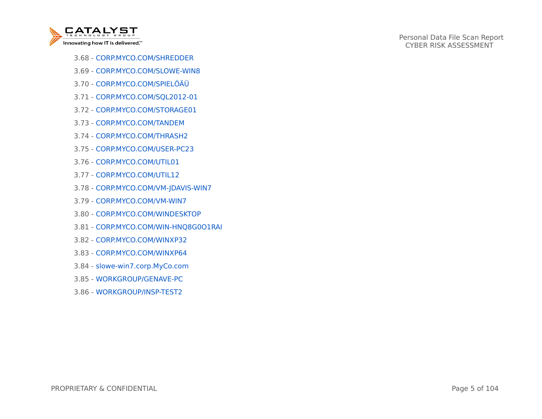

- 3.68 CORP.MYCO.COM/SHREDDER
- 3.69 CORP.MYCO.COM/SLOWE-WIN8
- 3.70 CORP.MYCO.COM/SPIELÖÄÜ
- 3.71 CORP.MYCO.COM/SQL2012-01
- 3.72 CORP.MYCO.COM/STORAGE01
- 3.73 CORP.MYCO.COM/TANDEM
- 3.74 CORP.MYCO.COM/THRASH2
- 3.75 CORP.MYCO.COM/USER-PC23
- 3.76 CORP.MYCO.COM/UTIL01
- 3.77 CORP.MYCO.COM/UTIL12
- 3.78 CORP.MYCO.COM/VM-JDAVIS-WIN7
- 3.79 CORP.MYCO.COM/VM-WIN7
- 3.80 CORP.MYCO.COM/WINDESKTOP
- 3.81 CORP.MYCO.COM/WIN-HNQ8G0O1RAI
- 3.82 CORP.MYCO.COM/WINXP32
- 3.83 CORP.MYCO.COM/WINXP64
- 3.84 slowe-win7.corp.MyCo.com
- 3.85 WORKGROUP/GENAVE-PC
- 3.86 WORKGROUP/INSP-TEST2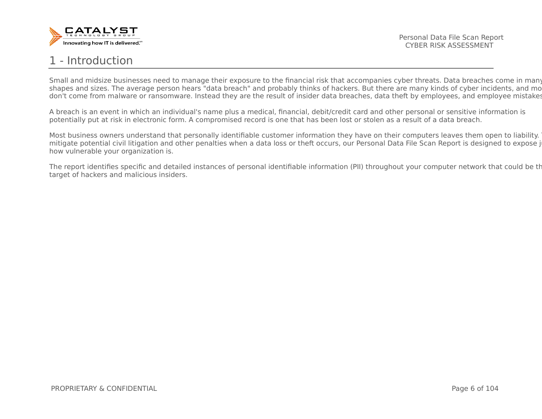

# 1 - Introduction

Small and midsize businesses need to manage their exposure to the financial risk that accompanies cyber threats. Data breaches come in many shapes and sizes. The average person hears "data breach" and probably thinks of hackers. But there are many kinds of cyber incidents, and mo don't come from malware or ransomware. Instead they are the result of insider data breaches, data theft by employees, and employee mistakes.

A breach is an event in which an individual's name plus a medical, financial, debit/credit card and other personal or sensitive information is potentially put at risk in electronic form. A compromised record is one that has been lost or stolen as a result of a data breach.

Most business owners understand that personally identifiable customer information they have on their computers leaves them open to liability. mitigate potential civil litigation and other penalties when a data loss or theft occurs, our Personal Data File Scan Report is designed to expose i how vulnerable your organization is.

The report identifies specific and detailed instances of personal identifiable information (PII) throughout your computer network that could be the target of hackers and malicious insiders.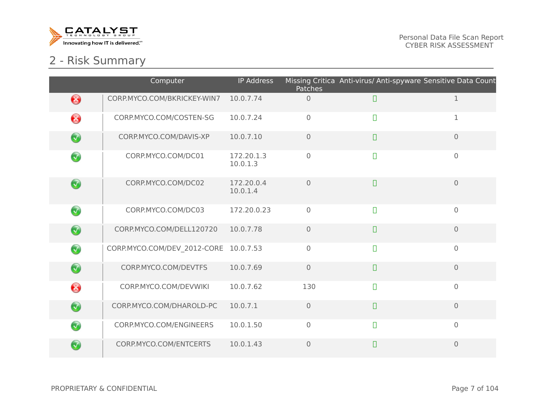

# 2 - Risk Summary

|                        | Computer                              | <b>IP Address</b>      | Patches        | Missing Critica Anti-virus/ Anti-spyware Sensitive Data Count |                |
|------------------------|---------------------------------------|------------------------|----------------|---------------------------------------------------------------|----------------|
| ❸                      | CORP.MYCO.COM/BKRICKEY-WIN7           | 10.0.7.74              | $\overline{0}$ | $\Box$                                                        | $\mathbf 1$    |
| ❸                      | CORP.MYCO.COM/COSTEN-SG               | 10.0.7.24              | $\mathbf 0$    | $\Box$                                                        | 1              |
| $\bigcirc$             | CORP.MYCO.COM/DAVIS-XP                | 10.0.7.10              | $\overline{0}$ | $\Box$                                                        | $\mathbf{0}$   |
| $\bigcirc$             | CORP.MYCO.COM/DC01                    | 172.20.1.3<br>10.0.1.3 | $\mathbf 0$    | $\Box$                                                        | $\mathbf 0$    |
| $\bigcirc$             | CORP.MYCO.COM/DC02                    | 172.20.0.4<br>10.0.1.4 | $\overline{0}$ | $\Box$                                                        | $\overline{0}$ |
| $\bigcirc$             | CORP.MYCO.COM/DC03                    | 172.20.0.23            | $\overline{0}$ | $\Box$                                                        | $\overline{0}$ |
| $\bigcirc$             | CORP.MYCO.COM/DELL120720              | 10.0.7.78              | $\overline{0}$ | $\Box$                                                        | $\overline{0}$ |
| $\bigcirc$             | CORP.MYCO.COM/DEV_2012-CORE 10.0.7.53 |                        | $\mathbf 0$    | $\Box$                                                        | $\mathbf 0$    |
| $\bigcirc$             | CORP.MYCO.COM/DEVTFS                  | 10.0.7.69              | $\overline{0}$ | $\Box$                                                        | $\overline{0}$ |
| ❸                      | CORP.MYCO.COM/DEVWIKI                 | 10.0.7.62              | 130            | $\Box$                                                        | $\overline{0}$ |
| $\bigcirc$             | CORP.MYCO.COM/DHAROLD-PC              | 10.0.7.1               | $\mathbf 0$    | $\Box$                                                        | $\overline{0}$ |
| $\left(\bigvee\right)$ | CORP.MYCO.COM/ENGINEERS               | 10.0.1.50              | $\mathbf 0$    | $\Box$                                                        | $\overline{0}$ |
| $\sqrt{2}$             | CORP.MYCO.COM/ENTCERTS                | 10.0.1.43              | $\overline{0}$ | $\Box$                                                        | $\overline{0}$ |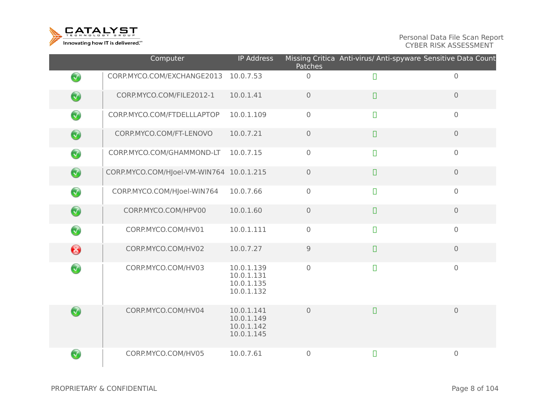

|            | Computer                                 | <b>IP Address</b>                                    | Patches             | Missing Critica Anti-virus/ Anti-spyware Sensitive Data Count |                |
|------------|------------------------------------------|------------------------------------------------------|---------------------|---------------------------------------------------------------|----------------|
| $\bigcirc$ | CORP.MYCO.COM/EXCHANGE2013               | 10.0.7.53                                            | $\mathbf 0$         | $\Box$                                                        | $\mathbf 0$    |
| $\bigcirc$ | CORP.MYCO.COM/FILE2012-1                 | 10.0.1.41                                            | $\overline{0}$      | $\Box$                                                        | $\overline{0}$ |
| $\bigcirc$ | CORP.MYCO.COM/FTDELLLAPTOP               | 10.0.1.109                                           | $\mathbf 0$         | $\Box$                                                        | $\mathbf 0$    |
| $\bigcirc$ | CORP.MYCO.COM/FT-LENOVO                  | 10.0.7.21                                            | $\overline{0}$      | $\Box$                                                        | $\overline{0}$ |
| $\bigcirc$ | CORP.MYCO.COM/GHAMMOND-LT                | 10.0.7.15                                            | $\mathbf 0$         | $\Box$                                                        | $\mathbf 0$    |
| $\bigcirc$ | CORP.MYCO.COM/HJoel-VM-WIN764 10.0.1.215 |                                                      | $\mathsf{O}\xspace$ | $\Box$                                                        | $\mathbf 0$    |
| $\bigcirc$ | CORP.MYCO.COM/HJoel-WIN764               | 10.0.7.66                                            | $\mathbf 0$         | $\Box$                                                        | $\overline{0}$ |
| $\bigcirc$ | CORP.MYCO.COM/HPV00                      | 10.0.1.60                                            | $\mathbf 0$         | $\Box$                                                        | $\mathbf{O}$   |
| $\bigcirc$ | CORP.MYCO.COM/HV01                       | 10.0.1.111                                           | $\mathbf 0$         | $\Box$                                                        | $\overline{0}$ |
| ❸          | CORP.MYCO.COM/HV02                       | 10.0.7.27                                            | $\mathsf 9$         | $\Box$                                                        | $\overline{0}$ |
| $\bigcirc$ | CORP.MYCO.COM/HV03                       | 10.0.1.139<br>10.0.1.131<br>10.0.1.135<br>10.0.1.132 | $\overline{0}$      | $\Box$                                                        | $\mathbf 0$    |
| $\bigcirc$ | CORP.MYCO.COM/HV04                       | 10.0.1.141<br>10.0.1.149<br>10.0.1.142<br>10.0.1.145 | $\overline{0}$      | $\Box$                                                        | $\overline{0}$ |
| $\bigcirc$ | CORP.MYCO.COM/HV05                       | 10.0.7.61                                            | $\mathbf 0$         | $\Box$                                                        | $\mathbf 0$    |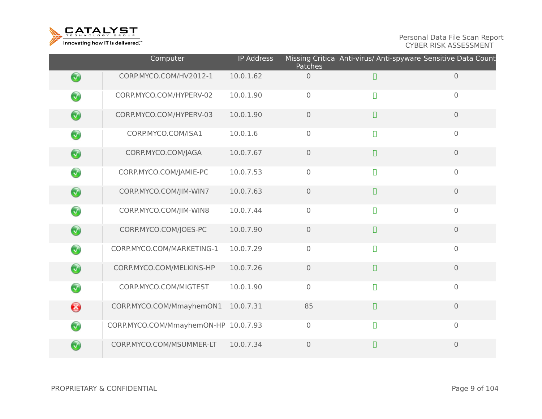

|            | Computer                             | <b>IP Address</b> | <b>Patches</b>      | Missing Critica Anti-virus/ Anti-spyware Sensitive Data Count |                     |
|------------|--------------------------------------|-------------------|---------------------|---------------------------------------------------------------|---------------------|
| $\bigcirc$ | CORP.MYCO.COM/HV2012-1               | 10.0.1.62         | $\overline{0}$      | $\Box$                                                        | $\mathbf{O}$        |
| $\bigcirc$ | CORP.MYCO.COM/HYPERV-02              | 10.0.1.90         | $\mathbf 0$         | $\Box$                                                        | $\mathsf{O}\xspace$ |
| $\bigcirc$ | CORP.MYCO.COM/HYPERV-03              | 10.0.1.90         | $\mathbf 0$         | $\Box$                                                        | $\mathbf 0$         |
| $\bigcirc$ | CORP.MYCO.COM/ISA1                   | 10.0.1.6          | $\mathbf 0$         | $\Box$                                                        | $\overline{0}$      |
| $\bigcirc$ | CORP.MYCO.COM/JAGA                   | 10.0.7.67         | $\mathbf 0$         | $\Box$                                                        | $\mathbf 0$         |
| $\bigcirc$ | CORP.MYCO.COM/JAMIE-PC               | 10.0.7.53         | $\mathbf 0$         | $\Box$                                                        | $\mathbf 0$         |
| $\bigcirc$ | CORP.MYCO.COM/JIM-WIN7               | 10.0.7.63         | $\mathsf{O}\xspace$ | $\Box$                                                        | $\mathbf 0$         |
| $\bigodot$ | CORP.MYCO.COM/JIM-WIN8               | 10.0.7.44         | $\mathbf 0$         | $\Box$                                                        | $\overline{0}$      |
| $\bigcirc$ | CORP.MYCO.COM/JOES-PC                | 10.0.7.90         | $\overline{0}$      | $\Box$                                                        | $\mathbf{O}$        |
| $\bigcirc$ | CORP.MYCO.COM/MARKETING-1            | 10.0.7.29         | $\mathbf 0$         | $\Box$                                                        | $\mathbf 0$         |
| $\bigcirc$ | CORP.MYCO.COM/MELKINS-HP             | 10.0.7.26         | $\mathbf 0$         | $\Box$                                                        | $\mathbf 0$         |
| $\bigcirc$ | CORP.MYCO.COM/MIGTEST                | 10.0.1.90         | $\mathbf 0$         | $\Box$                                                        | $\overline{0}$      |
| ❸          | CORP.MYCO.COM/MmayhemON1             | 10.0.7.31         | 85                  | $\Box$                                                        | $\overline{0}$      |
| $\bigcirc$ | CORP.MYCO.COM/MmayhemON-HP 10.0.7.93 |                   | $\mathbf 0$         | $\Box$                                                        | $\mathbf 0$         |
| $\bigcirc$ | CORP.MYCO.COM/MSUMMER-LT             | 10.0.7.34         | $\mathbf 0$         | $\Box$                                                        | $\mathbf 0$         |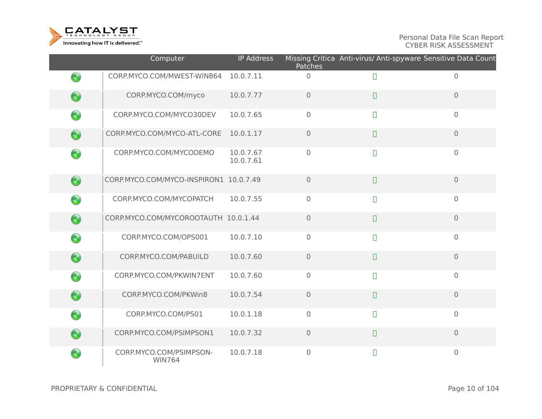

|                      | Computer                                 | <b>IP Address</b>      | Patches        | Missing Critica Anti-virus/ Anti-spyware Sensitive Data Count |                |
|----------------------|------------------------------------------|------------------------|----------------|---------------------------------------------------------------|----------------|
| $\bigcirc$           | CORP.MYCO.COM/MWEST-WIN864               | 10.0.7.11              | $\mathbf 0$    | $\Box$                                                        | $\overline{0}$ |
| $\bigcirc$           | CORP.MYCO.COM/myco                       | 10.0.7.77              | $\overline{0}$ | $\Box$                                                        | $\overline{0}$ |
| $\bigcirc$           | CORP.MYCO.COM/MYCO30DEV                  | 10.0.7.65              | $\mathbf 0$    | $\Box$                                                        | $\mathbf 0$    |
| $\bigcirc$           | CORP.MYCO.COM/MYCO-ATL-CORE              | 10.0.1.17              | $\overline{0}$ | $\Box$                                                        | $\overline{0}$ |
| $\bigcirc$           | CORP.MYCO.COM/MYCODEMO                   | 10.0.7.67<br>10.0.7.61 | $\overline{0}$ | $\Box$                                                        | $\mathbf 0$    |
| $\bigcirc$           | CORP.MYCO.COM/MYCO-INSPIRON1 10.0.7.49   |                        | $\overline{0}$ | $\Box$                                                        | $\overline{0}$ |
| $\bigcirc$           | CORP.MYCO.COM/MYCOPATCH                  | 10.0.7.55              | $\mathbf 0$    | $\Box$                                                        | $\mathbf 0$    |
| $\bigcirc$           | CORP.MYCO.COM/MYCOROOTAUTH 10.0.1.44     |                        | $\overline{0}$ | $\Box$                                                        | $\mathbf 0$    |
| $\bigcirc$           | CORP.MYCO.COM/OPS001                     | 10.0.7.10              | $\mathbf 0$    | $\Box$                                                        | $\mathbf 0$    |
| $\bigcirc$           | CORP.MYCO.COM/PABUILD                    | 10.0.7.60              | $\overline{0}$ | $\Box$                                                        | $\overline{0}$ |
| $\bigcirc$           | CORP.MYCO.COM/PKWIN7ENT                  | 10.0.7.60              | $\mathbf 0$    | $\Box$                                                        | $\mathbf 0$    |
| $\bigcirc$           | CORP.MYCO.COM/PKWin8                     | 10.0.7.54              | $\mathbf 0$    | $\Box$                                                        | $\overline{0}$ |
| $\bigcirc$           | CORP.MYCO.COM/PS01                       | 10.0.1.18              | $\mathbf 0$    | $\Box$                                                        | $\overline{0}$ |
| $\bigcirc$           | CORP.MYCO.COM/PSIMPSON1                  | 10.0.7.32              | $\mathbf 0$    | $\Box$                                                        | $\overline{0}$ |
| $\blacktriangledown$ | CORP.MYCO.COM/PSIMPSON-<br><b>WIN764</b> | 10.0.7.18              | $\mathbf{0}$   | $\Box$                                                        | $\overline{0}$ |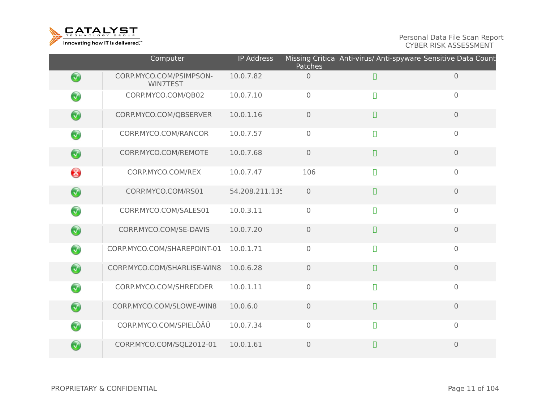

|            | Computer                            | <b>IP Address</b> | <b>Patches</b> | Missing Critica Anti-virus/ Anti-spyware Sensitive Data Count |                     |
|------------|-------------------------------------|-------------------|----------------|---------------------------------------------------------------|---------------------|
| $\bigcirc$ | CORP.MYCO.COM/PSIMPSON-<br>WIN7TEST | 10.0.7.82         | $\mathbf 0$    | $\Box$                                                        | $\mathbf 0$         |
| $\bigcirc$ | CORP.MYCO.COM/QB02                  | 10.0.7.10         | $\overline{0}$ | $\Box$                                                        | $\mathsf{O}\xspace$ |
| $\bigcirc$ | CORP.MYCO.COM/QBSERVER              | 10.0.1.16         | $\overline{0}$ | $\Box$                                                        | $\overline{0}$      |
| $\bigcirc$ | CORP.MYCO.COM/RANCOR                | 10.0.7.57         | $\overline{0}$ | $\Box$                                                        | $\mathbf 0$         |
| $\bigcirc$ | CORP.MYCO.COM/REMOTE                | 10.0.7.68         | $\overline{0}$ | $\begin{array}{c} \square \end{array}$                        | $\overline{0}$      |
| €          | CORP.MYCO.COM/REX                   | 10.0.7.47         | 106            | $\Box$                                                        | $\overline{0}$      |
| $\bigcirc$ | CORP.MYCO.COM/RS01                  | 54.208.211.135    | $\overline{0}$ | $\Box$                                                        | $\overline{0}$      |
| $\bigcirc$ | CORP.MYCO.COM/SALES01               | 10.0.3.11         | $\overline{0}$ | $\Box$                                                        | $\overline{0}$      |
| $\bigcirc$ | CORP.MYCO.COM/SE-DAVIS              | 10.0.7.20         | $\overline{0}$ | $\Box$                                                        | $\overline{O}$      |
| $\bigcirc$ | CORP.MYCO.COM/SHAREPOINT-01         | 10.0.1.71         | $\overline{0}$ | $\Box$                                                        | $\mathbf 0$         |
| $\bigcirc$ | CORP.MYCO.COM/SHARLISE-WIN8         | 10.0.6.28         | $\overline{0}$ | $\Box$                                                        | $\overline{0}$      |
| $\bigcirc$ | CORP.MYCO.COM/SHREDDER              | 10.0.1.11         | $\mathbf 0$    | $\Box$                                                        | $\mathsf{O}\xspace$ |
| $\bigcirc$ | CORP.MYCO.COM/SLOWE-WIN8            | 10.0.6.0          | $\overline{0}$ | $\Box$                                                        | $\overline{0}$      |
| $\bigcirc$ | CORP.MYCO.COM/SPIELÖÄÜ              | 10.0.7.34         | $\overline{0}$ | $\Box$                                                        | $\overline{0}$      |
| $\bigcirc$ | CORP.MYCO.COM/SQL2012-01            | 10.0.1.61         | $\overline{0}$ | $\Box$                                                        | $\overline{0}$      |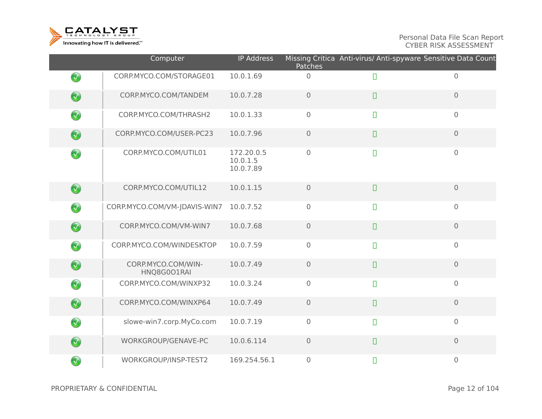

|            | Computer                          | <b>IP Address</b>                   | Patches             | Missing Critica Anti-virus/ Anti-spyware Sensitive Data Count |                |
|------------|-----------------------------------|-------------------------------------|---------------------|---------------------------------------------------------------|----------------|
| $\bigcirc$ | CORP.MYCO.COM/STORAGE01           | 10.0.1.69                           | $\overline{0}$      | $\Box$                                                        | $\overline{0}$ |
| $\bigcirc$ | CORP.MYCO.COM/TANDEM              | 10.0.7.28                           | $\mathsf{O}\xspace$ | $\Box$                                                        | $\mathbf 0$    |
| $\bigcirc$ | CORP.MYCO.COM/THRASH2             | 10.0.1.33                           | $\overline{0}$      | $\Box$                                                        | $\mathbf 0$    |
| $\bigcirc$ | CORP.MYCO.COM/USER-PC23           | 10.0.7.96                           | $\mathbf 0$         | $\Box$                                                        | $\overline{0}$ |
| $\bigcirc$ | CORP.MYCO.COM/UTIL01              | 172.20.0.5<br>10.0.1.5<br>10.0.7.89 | $\overline{0}$      | $\Box$                                                        | $\overline{0}$ |
| $\bigcirc$ | CORP.MYCO.COM/UTIL12              | 10.0.1.15                           | $\overline{0}$      | $\Box$                                                        | $\mathbf 0$    |
| $\bigcirc$ | CORP.MYCO.COM/VM-JDAVIS-WIN7      | 10.0.7.52                           | $\overline{0}$      | $\Box$                                                        | $\mathbf 0$    |
| $\bigcirc$ | CORP.MYCO.COM/VM-WIN7             | 10.0.7.68                           | $\overline{0}$      | $\Box$                                                        | $\overline{0}$ |
| $\bigcirc$ | CORP.MYCO.COM/WINDESKTOP          | 10.0.7.59                           | $\overline{O}$      | $\Box$                                                        | $\overline{0}$ |
| $\bigcirc$ | CORP.MYCO.COM/WIN-<br>HNQ8G0O1RAI | 10.0.7.49                           | $\mathsf{O}\xspace$ | $\Box$                                                        | $\mathbf 0$    |
| $\bigcirc$ | CORP.MYCO.COM/WINXP32             | 10.0.3.24                           | $\overline{0}$      | $\Box$                                                        | $\overline{0}$ |
| $\bigcirc$ | CORP.MYCO.COM/WINXP64             | 10.0.7.49                           | $\overline{0}$      | $\Box$                                                        | $\overline{0}$ |
| $\bigcirc$ | slowe-win7.corp.MyCo.com          | 10.0.7.19                           | $\overline{0}$      | $\Box$                                                        | $\overline{0}$ |
| $\bigcirc$ | WORKGROUP/GENAVE-PC               | 10.0.6.114                          | $\mathbf 0$         | $\Box$                                                        | $\overline{0}$ |
| $\bigcirc$ | WORKGROUP/INSP-TEST2              | 169.254.56.1                        | $\mathbf 0$         | $\Box$                                                        | $\mathbf 0$    |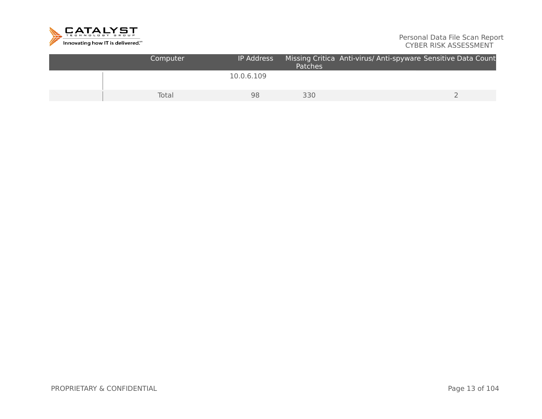

| Computer | <b>IP Address</b> | <b>Patches</b> | Missing Critica Anti-virus/ Anti-spyware Sensitive Data Count |  |
|----------|-------------------|----------------|---------------------------------------------------------------|--|
|          | 10.0.6.109        |                |                                                               |  |
| Total    | 98                | 330            |                                                               |  |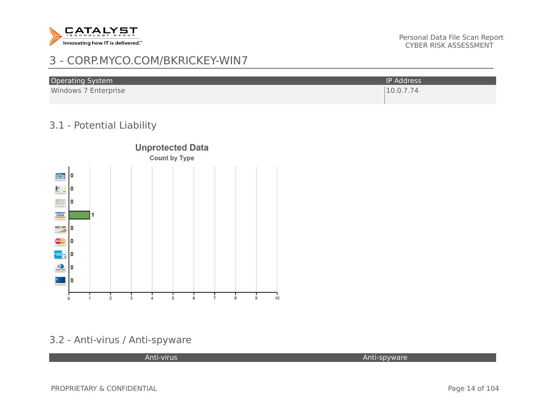

# 3 - CORP.MYCO.COM/BKRICKEY-WIN7

| <b>Operating System</b> | IP Address' |
|-------------------------|-------------|
| Windows 7 Enterprise    | 10.0.7.74   |

## 3.1 - Potential Liability



## 3.2 - Anti-virus / Anti-spyware

Anti-virus Anti-spyware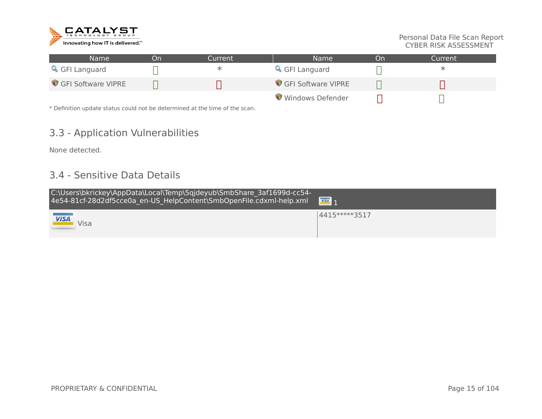

| Name               | ิวท | Current | Name               | Dn. | Current |
|--------------------|-----|---------|--------------------|-----|---------|
| GFI Languard       |     |         | GFI Languard       |     | ж       |
| GFI Software VIPRE |     |         | GFI Software VIPRE |     |         |
|                    |     |         | Windows Defender   |     |         |

\* Definition update status could not be determined at the time of the scan.

## 3.3 - Application Vulnerabilities

None detected.

## 3.4 - Sensitive Data Details

| C:\Users\bkrickey\AppData\Local\Temp\5qjdeyub\SmbShare 3af1699d-cc54-<br>4e54-81cf-28d2df5cce0a_en-US_HelpContent\SmbOpenFile.cdxml-help.xml | $\overline{VISA}$ 1 |
|----------------------------------------------------------------------------------------------------------------------------------------------|---------------------|
| <b>STATISTICS</b><br><u>VISA</u><br>Visa                                                                                                     | 4415*****3517       |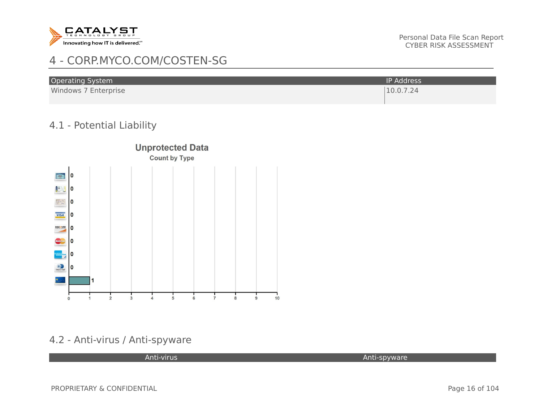

# 4 - CORP.MYCO.COM/COSTEN-SG

| <b>Operating System</b> | <b>IP Address</b> |
|-------------------------|-------------------|
| Windows 7 Enterprise    | 10.0.7.24         |

#### 4.1 - Potential Liability



## 4.2 - Anti-virus / Anti-spyware

Anti-virus Anti-spyware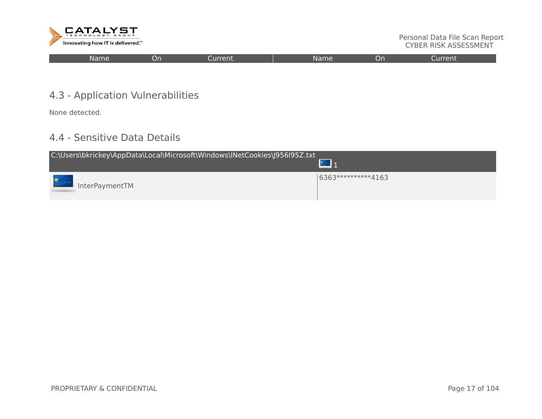

| <br>Name<br>Current<br>nn.<br>Or<br>m<br>'VRL<br>ขา<br>. |
|----------------------------------------------------------|
|----------------------------------------------------------|

## 4.3 - Application Vulnerabilities

None detected.

## 4.4 - Sensitive Data Details

| C:\Users\bkrickey\AppData\Local\Microsoft\Windows\INetCookies\J956I95Z.txt |                     |  |  |  |  |
|----------------------------------------------------------------------------|---------------------|--|--|--|--|
| InterPaymentTM                                                             | 6363***********4163 |  |  |  |  |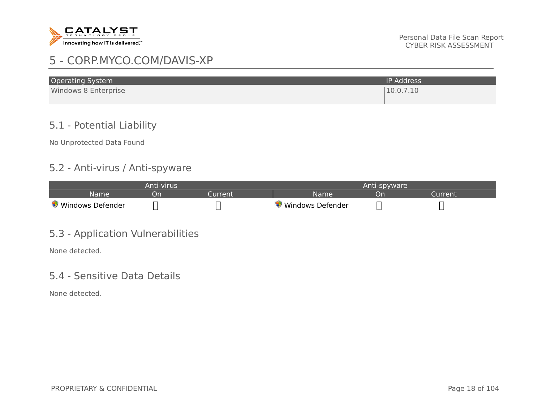

# 5 - CORP.MYCO.COM/DAVIS-XP

| <b>Operating System</b> | <b>IP Address</b> |
|-------------------------|-------------------|
| Windows 8 Enterprise    | 10.0.7.10         |
|                         |                   |

## 5.1 - Potential Liability

No Unprotected Data Found

#### 5.2 - Anti-virus / Anti-spyware

| Anti-virus       |    |              | Anti-spyware       |    |        |
|------------------|----|--------------|--------------------|----|--------|
| <b>Name</b>      | υr | <b>urren</b> | Name               | OF | ırrent |
| Windows Defender |    |              | / Windows Defender |    |        |

## 5.3 - Application Vulnerabilities

None detected.

#### 5.4 - Sensitive Data Details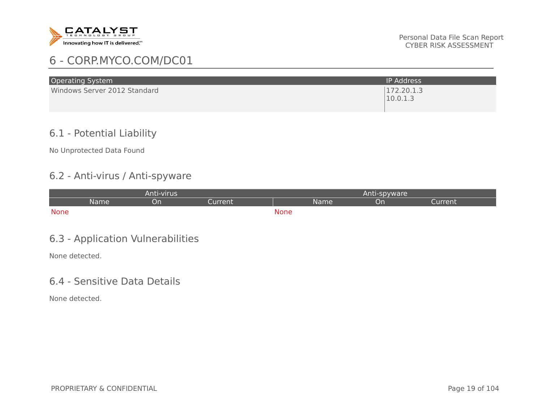

# 6 - CORP.MYCO.COM/DC01

| <b>Operating System</b>      | <b>IP Address</b>      |
|------------------------------|------------------------|
| Windows Server 2012 Standard | 172.20.1.3<br>10.0.1.3 |

#### 6.1 - Potential Liability

No Unprotected Data Found

## 6.2 - Anti-virus / Anti-spyware

| Anti-virus |             |    |         | Anti-spyware |      |    |         |
|------------|-------------|----|---------|--------------|------|----|---------|
|            | <b>Name</b> | On | Current |              | Name | On | Current |
| None       |             |    |         | <b>None</b>  |      |    |         |
|            |             |    |         |              |      |    |         |

## 6.3 - Application Vulnerabilities

None detected.

#### 6.4 - Sensitive Data Details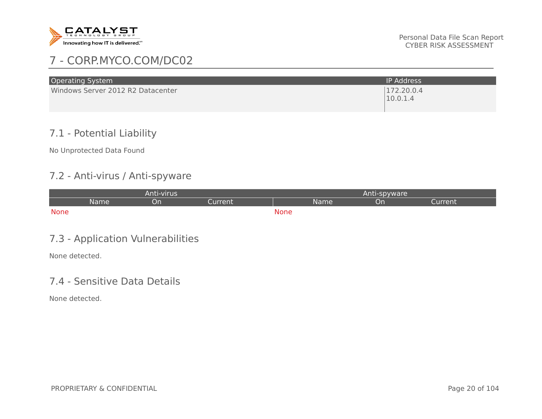

# 7 - CORP.MYCO.COM/DC02

| <b>Operating System</b>           | <b>IP Address</b>      |
|-----------------------------------|------------------------|
| Windows Server 2012 R2 Datacenter | 172.20.0.4<br>10.0.1.4 |

## 7.1 - Potential Liability

No Unprotected Data Found

## 7.2 - Anti-virus / Anti-spyware

| Anti-virus |             |    |         | Anti-spyware |      |    |         |
|------------|-------------|----|---------|--------------|------|----|---------|
|            | <b>Name</b> | On | Current |              | Name | On | Current |
| None       |             |    |         | <b>None</b>  |      |    |         |
|            |             |    |         |              |      |    |         |

## 7.3 - Application Vulnerabilities

None detected.

## 7.4 - Sensitive Data Details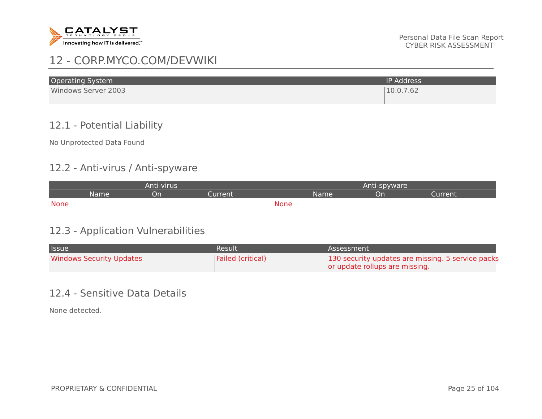

# 12 - CORP.MYCO.COM/DEVWIKI

| <b>Operating System</b> | <b>IP Address</b> |
|-------------------------|-------------------|
| Windows Server 2003     | 10.0.7.62         |

## 12.1 - Potential Liability

No Unprotected Data Found

#### 12.2 - Anti-virus / Anti-spyware

| Anti-virus              |  |  |  | Anti-spyware |    |                              |  |  |
|-------------------------|--|--|--|--------------|----|------------------------------|--|--|
| Current :<br>Name<br>On |  |  |  | Name         | Or | <b><i><u>Furrent</u></i></b> |  |  |
| <b>None</b>             |  |  |  | <b>None</b>  |    |                              |  |  |

## 12.3 - Application Vulnerabilities

| <b>Issue</b>                    | Result            | Assessment                                        |
|---------------------------------|-------------------|---------------------------------------------------|
| <b>Windows Security Updates</b> | Failed (critical) | 130 security updates are missing. 5 service packs |
|                                 |                   | or update rollups are missing.                    |

#### 12.4 - Sensitive Data Details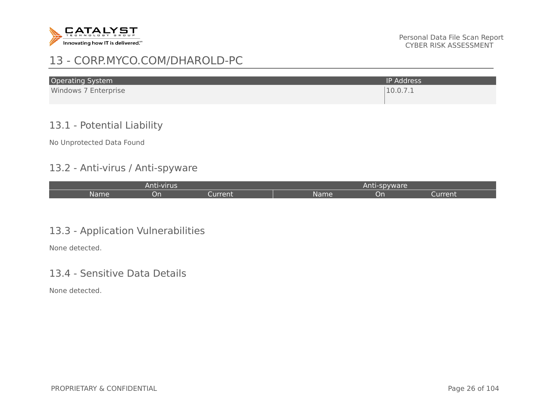

# 13 - CORP.MYCO.COM/DHAROLD-PC

| <b>Operating System</b> | <b>IP Address</b> |
|-------------------------|-------------------|
| Windows 7 Enterprise    | 10.0.7.1          |

## 13.1 - Potential Liability

No Unprotected Data Found

#### 13.2 - Anti-virus / Anti-spyware

| Anti-virus |    |         | Anti-spyware, |     |         |
|------------|----|---------|---------------|-----|---------|
| Name       | on | Current | Name          | ิวท | Current |

## 13.3 - Application Vulnerabilities

None detected.

#### 13.4 - Sensitive Data Details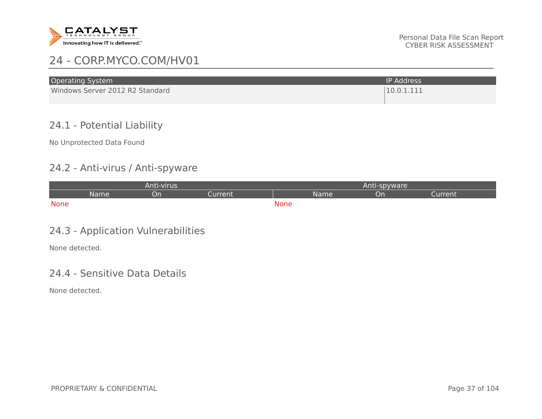

| <b>Operating System</b>         | IP Address' |
|---------------------------------|-------------|
| Windows Server 2012 R2 Standard | 10.0.1.111  |

## 24.1 - Potential Liability

No Unprotected Data Found

#### 24.2 - Anti-virus / Anti-spyware

| Anti-virus |      |    |           | Anti-spyware |      |    |         |
|------------|------|----|-----------|--------------|------|----|---------|
|            | Name | υn | Current : |              | Name | Or | Current |
| None       |      |    |           | <b>None</b>  |      |    |         |

## 24.3 - Application Vulnerabilities

None detected.

#### 24.4 - Sensitive Data Details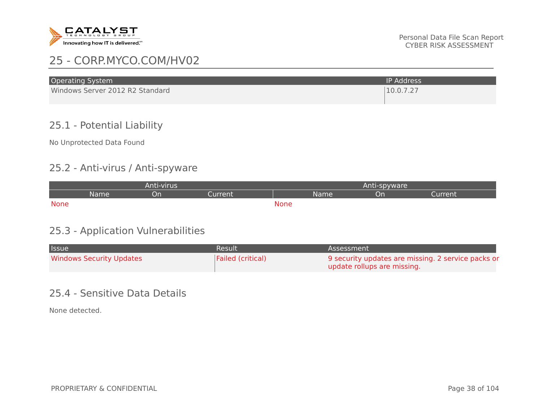

| <b>Operating System</b>         | <b>IP Address</b> |
|---------------------------------|-------------------|
| Windows Server 2012 R2 Standard | 10.0.7.27         |

## 25.1 - Potential Liability

No Unprotected Data Found

#### 25.2 - Anti-virus / Anti-spyware

| Anti-virus |      |    |           | Anti-spyware |      |    |         |
|------------|------|----|-----------|--------------|------|----|---------|
|            | Name | υn | Current : |              | Name | Or | Current |
| None       |      |    |           | <b>None</b>  |      |    |         |

## 25.3 - Application Vulnerabilities

| <b>Issue</b>                    | Result            | Assessment                                         |
|---------------------------------|-------------------|----------------------------------------------------|
| <b>Windows Security Updates</b> | Failed (critical) | 9 security updates are missing. 2 service packs or |
|                                 |                   | update rollups are missing.                        |

#### 25.4 - Sensitive Data Details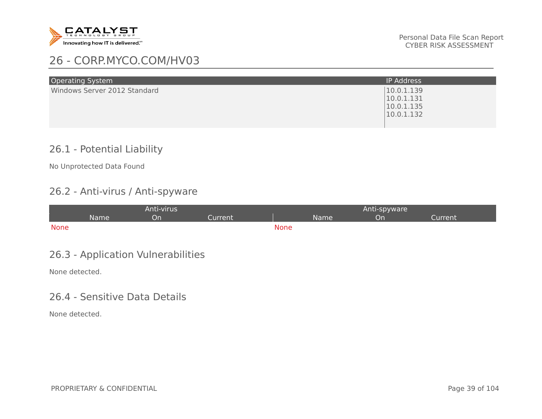

| <b>Operating System</b>      | <b>IP Address</b>                                    |
|------------------------------|------------------------------------------------------|
| Windows Server 2012 Standard | 10.0.1.139<br>10.0.1.131<br>10.0.1.135<br>10.0.1.132 |

## 26.1 - Potential Liability

No Unprotected Data Found

## 26.2 - Anti-virus / Anti-spyware

| Anti-virus  |      |    |         | Anti-spyware |      |    |         |
|-------------|------|----|---------|--------------|------|----|---------|
|             | Name | υn | Current |              | Name | Jn | Current |
| <b>None</b> |      |    |         | <b>None</b>  |      |    |         |

## 26.3 - Application Vulnerabilities

None detected.

#### 26.4 - Sensitive Data Details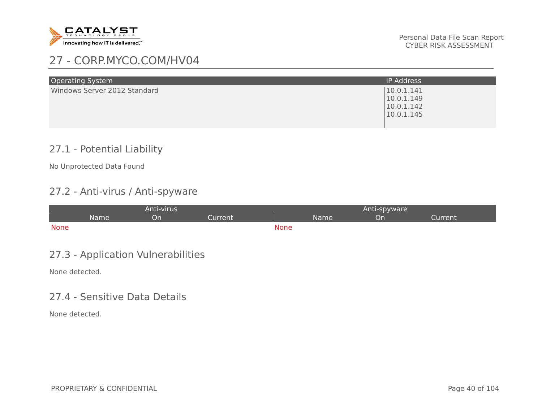

| <b>Operating System</b>      | <b>IP Address</b>                                    |
|------------------------------|------------------------------------------------------|
| Windows Server 2012 Standard | 10.0.1.141<br>10.0.1.149<br>10.0.1.142<br>10.0.1.145 |

## 27.1 - Potential Liability

No Unprotected Data Found

## 27.2 - Anti-virus / Anti-spyware

| Anti-virus  |      |    |         | Anti-spyware |      |    |         |
|-------------|------|----|---------|--------------|------|----|---------|
|             | Name | υn | Current |              | Name | Jn | Current |
| <b>None</b> |      |    |         | <b>None</b>  |      |    |         |

## 27.3 - Application Vulnerabilities

None detected.

#### 27.4 - Sensitive Data Details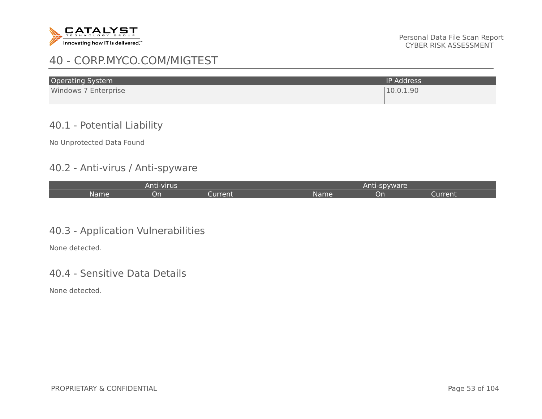

## 40 - CORP.MYCO.COM/MIGTEST

| <b>Operating System</b> | <b>IP Address</b> |
|-------------------------|-------------------|
| Windows 7 Enterprise    | 10.0.1.90         |

## 40.1 - Potential Liability

No Unprotected Data Found

#### 40.2 - Anti-virus / Anti-spyware

| Anti-virus |           |         | l-spvware'<br>Anti |    |         |
|------------|-----------|---------|--------------------|----|---------|
| Name       | <u>Un</u> | Current | Name               | υn | Current |

## 40.3 - Application Vulnerabilities

None detected.

#### 40.4 - Sensitive Data Details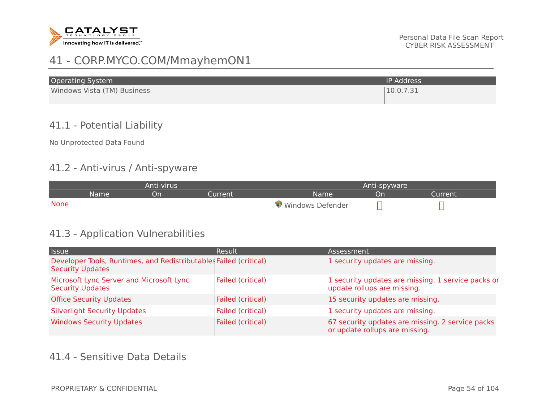

# 41 - CORP.MYCO.COM/MmayhemON1

| <b>Operating System</b>     | <b>IP Address</b> |
|-----------------------------|-------------------|
| Windows Vista (TM) Business | 10.0.7.31         |

## 41.1 - Potential Liability

No Unprotected Data Found

#### 41.2 - Anti-virus / Anti-spyware

| Anti-virus  |      |    |         |                  | Anti-spyware |         |  |
|-------------|------|----|---------|------------------|--------------|---------|--|
|             | Name | υn | Current | Name             | Dn           | Current |  |
| <b>None</b> |      |    |         | Windows Defender |              |         |  |

#### 41.3 - Application Vulnerabilities

| <b>Issue</b>                                                                                 | <b>Result</b>     | Assessment                                                                         |
|----------------------------------------------------------------------------------------------|-------------------|------------------------------------------------------------------------------------|
| Developer Tools, Runtimes, and Redistributables Failed (critical)<br><b>Security Updates</b> |                   | 1 security updates are missing.                                                    |
| Microsoft Lync Server and Microsoft Lync<br><b>Security Updates</b>                          | Failed (critical) | 1 security updates are missing. 1 service packs or<br>update rollups are missing.  |
| <b>Office Security Updates</b>                                                               | Failed (critical) | 15 security updates are missing.                                                   |
| <b>Silverlight Security Updates</b>                                                          | Failed (critical) | 1 security updates are missing.                                                    |
| <b>Windows Security Updates</b>                                                              | Failed (critical) | 67 security updates are missing. 2 service packs<br>or update rollups are missing. |

#### 41.4 - Sensitive Data Details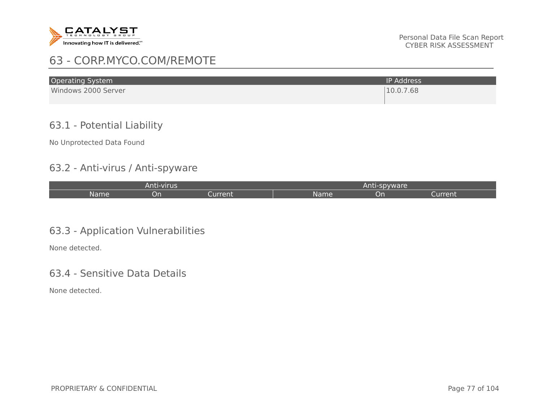

# 63 - CORP.MYCO.COM/REMOTE

| <b>Operating System</b> | <b>IP Address</b> |
|-------------------------|-------------------|
| Windows 2000 Server     | 10.0.7.68         |

## 63.1 - Potential Liability

No Unprotected Data Found

#### 63.2 - Anti-virus / Anti-spyware

| Anti-virus |    |         | Anti-spyware |    |         |
|------------|----|---------|--------------|----|---------|
| Name       | υn | Current | Name         | On | Current |

#### 63.3 - Application Vulnerabilities

None detected.

#### 63.4 - Sensitive Data Details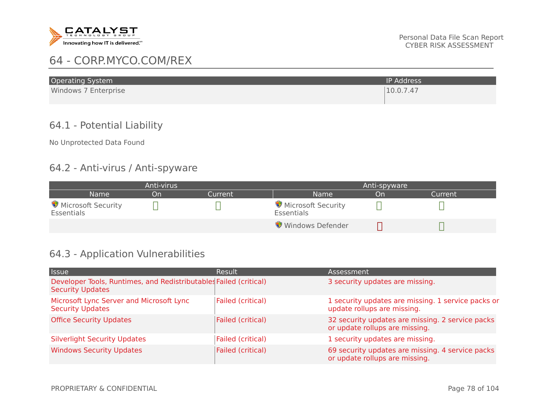

# 64 - CORP.MYCO.COM/REX

| <b>Operating System</b> | <b>IP Address</b> |
|-------------------------|-------------------|
| Windows 7 Enterprise    | 10.0.7.47         |

## 64.1 - Potential Liability

No Unprotected Data Found

#### 64.2 - Anti-virus / Anti-spyware

| Anti-virus                       |    |         |                                  | Anti-spyware |         |  |
|----------------------------------|----|---------|----------------------------------|--------------|---------|--|
| <b>Name</b>                      | On | Current | <b>Name</b>                      | On           | Current |  |
| Microsoft Security<br>Essentials |    |         | Microsoft Security<br>Essentials |              |         |  |
|                                  |    |         | Windows Defender                 |              |         |  |

## 64.3 - Application Vulnerabilities

| <b>Issue</b>                                                                                 | Result            | Assessment                                                                         |
|----------------------------------------------------------------------------------------------|-------------------|------------------------------------------------------------------------------------|
| Developer Tools, Runtimes, and Redistributables Failed (critical)<br><b>Security Updates</b> |                   | 3 security updates are missing.                                                    |
| Microsoft Lync Server and Microsoft Lync<br><b>Security Updates</b>                          | Failed (critical) | 1 security updates are missing. 1 service packs or<br>update rollups are missing.  |
| <b>Office Security Updates</b>                                                               | Failed (critical) | 32 security updates are missing. 2 service packs<br>or update rollups are missing. |
| <b>Silverlight Security Updates</b>                                                          | Failed (critical) | 1 security updates are missing.                                                    |
| <b>Windows Security Updates</b>                                                              | Failed (critical) | 69 security updates are missing. 4 service packs<br>or update rollups are missing. |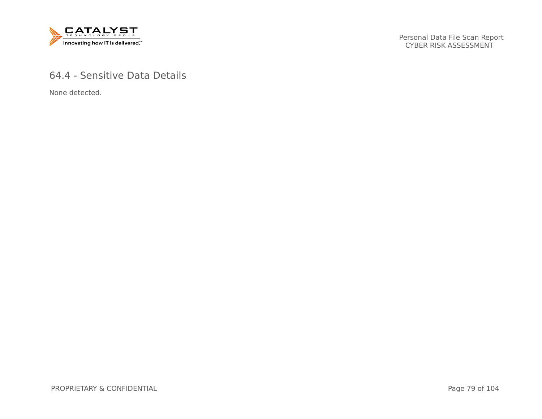

## 64.4 - Sensitive Data Details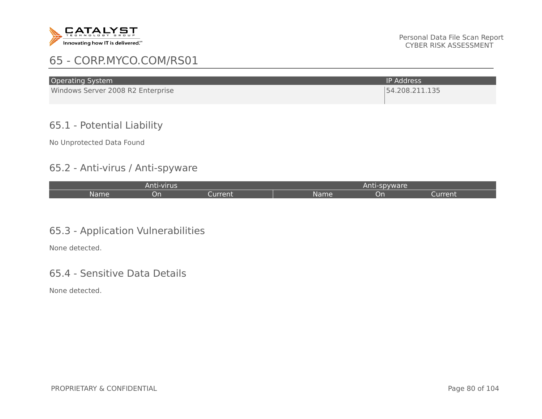

# 65 - CORP.MYCO.COM/RS01

| <b>Operating System</b>           | <b>IP Address</b> |
|-----------------------------------|-------------------|
| Windows Server 2008 R2 Enterprise | 54.208.211.135    |

## 65.1 - Potential Liability

No Unprotected Data Found

#### 65.2 - Anti-virus / Anti-spyware

| Anti-virus |           |         |      | Anti-spyware |         |  |
|------------|-----------|---------|------|--------------|---------|--|
| Name       | <u>on</u> | Current | Name | ิวท          | Current |  |

#### 65.3 - Application Vulnerabilities

None detected.

#### 65.4 - Sensitive Data Details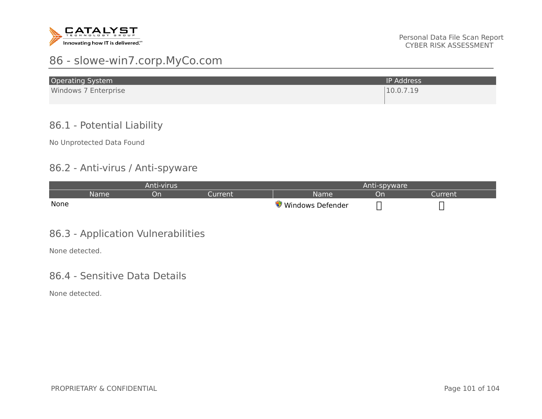

# 86 - slowe-win7.corp.MyCo.com

| <b>Operating System</b> | <b>IP Address</b> |
|-------------------------|-------------------|
| Windows 7 Enterprise    | 10.0.7.19         |

## 86.1 - Potential Liability

No Unprotected Data Found

#### 86.2 - Anti-virus / Anti-spyware

| Anti-virus |      |    |        |                  | Anti-spyware |          |  |
|------------|------|----|--------|------------------|--------------|----------|--|
|            | Name | Ur | urrent | Name             | חט           | turrent. |  |
| None       |      |    |        | Windows Defender |              |          |  |

## 86.3 - Application Vulnerabilities

None detected.

#### 86.4 - Sensitive Data Details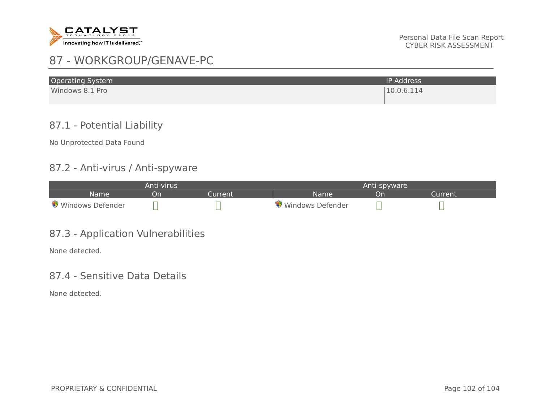

# 87 - WORKGROUP/GENAVE-PC

| <b>Operating System</b> | <b>IP Address</b> |
|-------------------------|-------------------|
| Windows 8.1 Pro         | 10.0.6.114        |

## 87.1 - Potential Liability

No Unprotected Data Found

#### 87.2 - Anti-virus / Anti-spyware

| Anti-virus       |    |        |                  | Anti-spyware |         |  |  |
|------------------|----|--------|------------------|--------------|---------|--|--|
| Name             | On | urrent | Name             | <b>Or</b>    | Current |  |  |
| Windows Defender |    |        | Windows Defender |              |         |  |  |

## 87.3 - Application Vulnerabilities

None detected.

#### 87.4 - Sensitive Data Details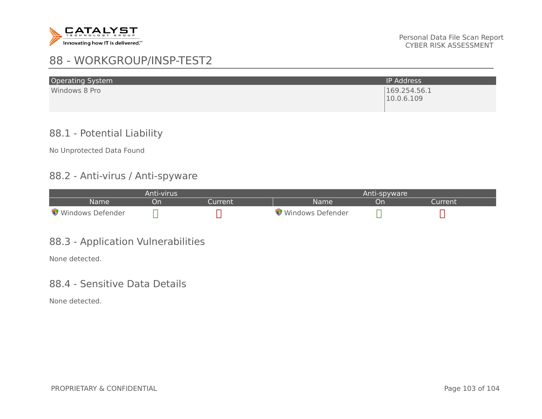

# 88 - WORKGROUP/INSP-TEST2

| <b>Operating System</b> | <b>IP Address</b>          |
|-------------------------|----------------------------|
| Windows 8 Pro           | 169.254.56.1<br>10.0.6.109 |

#### 88.1 - Potential Liability

No Unprotected Data Found

#### 88.2 - Anti-virus / Anti-spyware

| Anti-virus       |           |         |                  | Anti-spyware |         |  |  |
|------------------|-----------|---------|------------------|--------------|---------|--|--|
| <b>Name</b>      | <b>On</b> | Current | <b>Name</b>      | .)n          | Current |  |  |
| Windows Defender |           |         | Windows Defender |              |         |  |  |

#### 88.3 - Application Vulnerabilities

None detected.

#### 88.4 - Sensitive Data Details